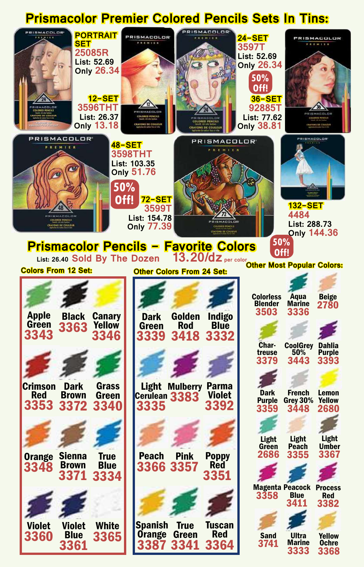